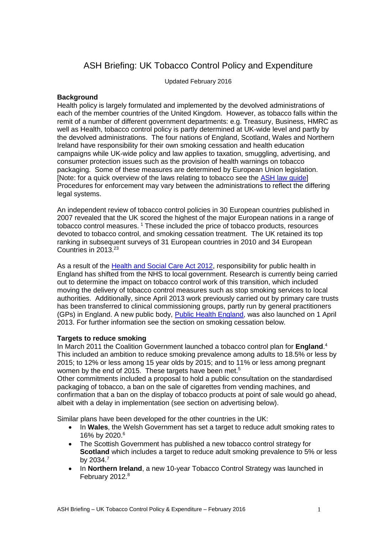# ASH Briefing: UK Tobacco Control Policy and Expenditure

Updated February 2016

### **Background**

Health policy is largely formulated and implemented by the devolved administrations of each of the member countries of the United Kingdom. However, as tobacco falls within the remit of a number of different government departments: e.g. Treasury, Business, HMRC as well as Health, tobacco control policy is partly determined at UK-wide level and partly by the devolved administrations. The four nations of England, Scotland, Wales and Northern Ireland have responsibility for their own smoking cessation and health education campaigns while UK-wide policy and law applies to taxation, smuggling, advertising, and consumer protection issues such as the provision of health warnings on tobacco packaging. Some of these measures are determined by European Union legislation. [Note: for a quick overview of the laws relating to tobacco see the [ASH law guide\]](http://www.ash.org.uk/information/law-guide) Procedures for enforcement may vary between the administrations to reflect the differing legal systems.

An independent review of tobacco control policies in 30 European countries published in 2007 revealed that the UK scored the highest of the major European nations in a range of tobacco control measures. <sup>1</sup> These included the price of tobacco products, resources devoted to tobacco control, and smoking cessation treatment. The UK retained its top ranking in subsequent surveys of 31 European countries in 2010 and 34 European Countries in 2013. 23

As a result of the [Health and Social Care Act 2012,](http://www.legislation.gov.uk/ukpga/2012/7/contents) responsibility for public health in England has shifted from the NHS to local government. Research is currently being carried out to determine the impact on tobacco control work of this transition, which included moving the delivery of tobacco control measures such as stop smoking services to local authorities. Additionally, since April 2013 work previously carried out by primary care trusts has been transferred to clinical commissioning groups, partly run by general practitioners (GPs) in England. A new public body, [Public Health England,](https://www.gov.uk/government/organisations/public-health-england) was also launched on 1 April 2013. For further information see the section on smoking cessation below.

### **Targets to reduce smoking**

<span id="page-0-0"></span>In March 2011 the Coalition Government launched a tobacco control plan for **England**. 4 This included an ambition to reduce smoking prevalence among adults to 18.5% or less by 2015; to 12% or less among 15 year olds by 2015; and to 11% or less among pregnant women by the end of 2015. These targets have been met.<sup>5</sup>

Other commitments included a proposal to hold a public consultation on the standardised packaging of tobacco, a ban on the sale of cigarettes from vending machines, and confirmation that a ban on the display of tobacco products at point of sale would go ahead, albeit with a delay in implementation (see section on advertising below).

Similar plans have been developed for the other countries in the UK:

- In **Wales**, the Welsh Government has set a target to reduce adult smoking rates to 16% by 2020.<sup>6</sup>
- The Scottish Government has published a new tobacco control strategy for **Scotland** which includes a target to reduce adult smoking prevalence to 5% or less by 2034.7
- In **Northern Ireland**, a new 10-year Tobacco Control Strategy was launched in February 2012.<sup>8</sup>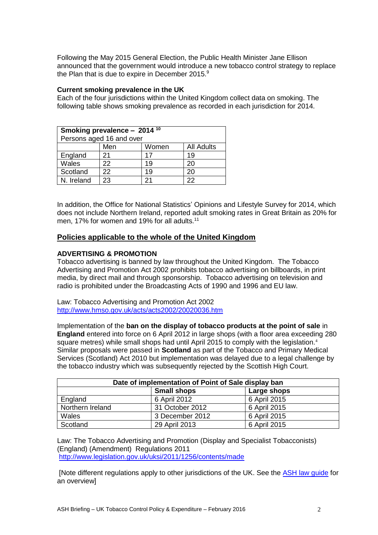Following the May 2015 General Election, the Public Health Minister Jane Ellison announced that the government would introduce a new tobacco control strategy to replace the Plan that is due to expire in December 2015. $9$ 

#### **Current smoking prevalence in the UK**

Each of the four jurisdictions within the United Kingdom collect data on smoking. The following table shows smoking prevalence as recorded in each jurisdiction for 2014.

| Smoking prevalence - $2014^{10}$ |     |       |                   |
|----------------------------------|-----|-------|-------------------|
| Persons aged 16 and over         |     |       |                   |
|                                  | Men | Women | <b>All Adults</b> |
| England                          | 21  | 17    | 19                |
| Wales                            | 22  | 19    | 20                |
| Scotland                         | 22  | 19    | 20                |
| N. Ireland                       | 23  | 21    | 22                |

In addition, the Office for National Statistics' Opinions and Lifestyle Survey for 2014, which does not include Northern Ireland, reported adult smoking rates in Great Britain as 20% for men. 17% for women and 19% for all adults.<sup>11</sup>

### **Policies applicable to the whole of the United Kingdom**

### **ADVERTISING & PROMOTION**

Tobacco advertising is banned by law throughout the United Kingdom. The Tobacco Advertising and Promotion Act 2002 prohibits tobacco advertising on billboards, in print media, by direct mail and through sponsorship. Tobacco advertising on television and radio is prohibited under the Broadcasting Acts of 1990 and 1996 and EU law.

Law: Tobacco Advertising and Promotion Act 2002 <http://www.hmso.gov.uk/acts/acts2002/20020036.htm>

Implementation of the **ban on the display of tobacco products at the point of sale** in **England** entered into force on 6 April 2012 in large shops (with a floor area exceeding 280 square metres) while small shops had until April 2015 to comply with the legislation[.](#page-0-0)<sup>4</sup> Similar proposals were passed in **Scotland** as part of the Tobacco and Primary Medical Services (Scotland) Act 2010 but implementation was delayed due to a legal challenge by the tobacco industry which was subsequently rejected by the Scottish High Court.

| Date of implementation of Point of Sale display ban |                 |              |
|-----------------------------------------------------|-----------------|--------------|
| <b>Small shops</b><br>Large shops                   |                 |              |
| England                                             | 6 April 2012    | 6 April 2015 |
| Northern Ireland                                    | 31 October 2012 | 6 April 2015 |
| Wales                                               | 3 December 2012 | 6 April 2015 |
| Scotland                                            | 29 April 2013   | 6 April 2015 |

Law: The Tobacco Advertising and Promotion (Display and Specialist Tobacconists) (England) (Amendment) Regulations 2011 <http://www.legislation.gov.uk/uksi/2011/1256/contents/made>

[Note different regulations apply to other jurisdictions of the UK. See the [ASH law guide](http://www.ash.org.uk/information/law-guide) for an overview]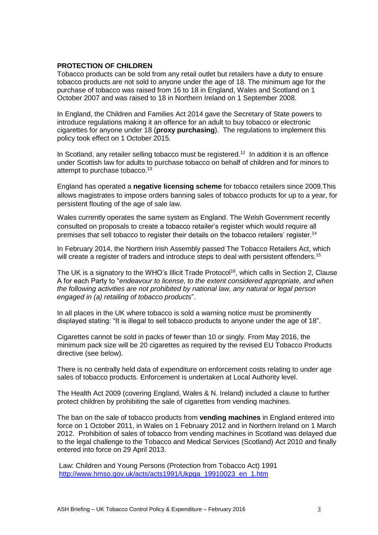### **PROTECTION OF CHILDREN**

Tobacco products can be sold from any retail outlet but retailers have a duty to ensure tobacco products are not sold to anyone under the age of 18. The minimum age for the purchase of tobacco was raised from 16 to 18 in England, Wales and Scotland on 1 October 2007 and was raised to 18 in Northern Ireland on 1 September 2008.

In England, the Children and Families Act 2014 gave the Secretary of State powers to introduce regulations making it an offence for an adult to buy tobacco or electronic cigarettes for anyone under 18 (**proxy purchasing**). The regulations to implement this policy took effect on 1 October 2015.

In Scotland, any retailer selling tobacco must be registered.<sup>12</sup> In addition it is an offence under Scottish law for adults to purchase tobacco on behalf of children and for minors to attempt to purchase tobacco.<sup>13</sup>

England has operated a **negative licensing scheme** for tobacco retailers since 2009.This allows magistrates to impose orders banning sales of tobacco products for up to a year, for persistent flouting of the age of sale law.

Wales currently operates the same system as England. The Welsh Government recently consulted on proposals to create a tobacco retailer's register which would require all premises that sell tobacco to register their details on the tobacco retailers' register.<sup>14</sup>

In February 2014, the Northern Irish Assembly passed The Tobacco Retailers Act, which will create a register of traders and introduce steps to deal with persistent offenders.<sup>15</sup>

The UK is a signatory to the WHO's Illicit Trade Protocol<sup>16</sup>, which calls in Section 2, Clause A for each Party to "*endeavour to license, to the extent considered appropriate, and when the following activities are not prohibited by national law, any natural or legal person engaged in (a) retailing of tobacco products*".

In all places in the UK where tobacco is sold a warning notice must be prominently displayed stating: "It is illegal to sell tobacco products to anyone under the age of 18".

Cigarettes cannot be sold in packs of fewer than 10 or singly. From May 2016, the minimum pack size will be 20 cigarettes as required by the revised EU Tobacco Products directive (see below).

There is no centrally held data of expenditure on enforcement costs relating to under age sales of tobacco products. Enforcement is undertaken at Local Authority level.

The Health Act 2009 (covering England, Wales & N. Ireland) included a clause to further protect children by prohibiting the sale of cigarettes from vending machines.

The ban on the sale of tobacco products from **vending machines** in England entered into force on 1 October 2011, in Wales on 1 February 2012 and in Northern Ireland on 1 March 2012. Prohibition of sales of tobacco from vending machines in Scotland was delayed due to the legal challenge to the Tobacco and Medical Services (Scotland) Act 2010 and finally entered into force on 29 April 2013.

Law: Children and Young Persons (Protection from Tobacco Act) 1991 [http://www.hmso.gov.uk/acts/acts1991/Ukpga\\_19910023\\_en\\_1.htm](http://www.hmso.gov.uk/acts/acts1991/Ukpga_19910023_en_1.htm)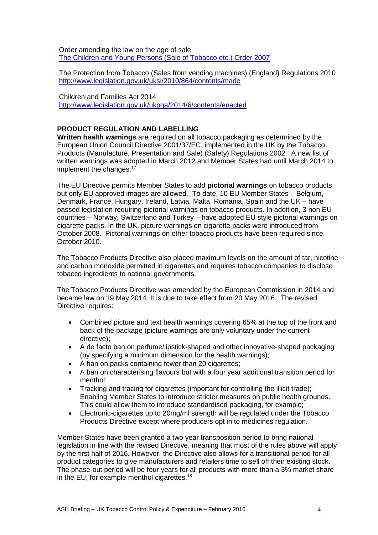Order amending the law on the age of sale The [Children and Young Persons \(Sale of Tobacco etc.\) Order 2007](http://www.opsi.gov.uk/SI/si2007/20070767.htm)

The Protection from Tobacco (Sales from vending machines) (England) Regulations 2010 <http://www.legislation.gov.uk/uksi/2010/864/contents/made>

Children and Families Act 2014 <http://www.legislation.gov.uk/ukpga/2014/6/contents/enacted>

### **PRODUCT REGULATION AND LABELLING**

**Written health warnings** are required on all tobacco packaging as determined by the European Union Council Directive 2001/37/EC, implemented in the UK by the Tobacco Products (Manufacture, Presentation and Sale) (Safety) Regulations 2002. A new list of written warnings was adopted in March 2012 and Member States had until March 2014 to implement the changes.<sup>17</sup>

The EU Directive permits Member States to add **pictorial warnings** on tobacco products but only EU approved images are allowed. To date, 10 EU Member States – Belgium, Denmark, France, Hungary, Ireland, Latvia, Malta, Romania, Spain and the UK – have passed legislation requiring pictorial warnings on tobacco products. In addition, 3 non EU countries – Norway, Switzerland and Turkey – have adopted EU style pictorial warnings on cigarette packs. In the UK, picture warnings on cigarette packs were introduced from October 2008. Pictorial warnings on other tobacco products have been required since October 2010.

The Tobacco Products Directive also placed maximum levels on the amount of tar, nicotine and carbon monoxide permitted in cigarettes and requires tobacco companies to disclose tobacco ingredients to national governments.

The Tobacco Products Directive was amended by the European Commission in 2014 and became law on 19 May 2014. It is due to take effect from 20 May 2016. The revised Directive requires:

- Combined picture and text health warnings covering 65% at the top of the front and back of the package (picture warnings are only voluntary under the current directive);
- A de facto ban on perfume/lipstick-shaped and other innovative-shaped packaging (by specifying a minimum dimension for the health warnings);
- A ban on packs containing fewer than 20 cigarettes:
- A ban on characterising flavours but with a four year additional transition period for menthol;
- Tracking and tracing for cigarettes (important for controlling the illicit trade); Enabling Member States to introduce stricter measures on public health grounds. This could allow them to introduce standardised packaging, for example;
- Electronic-cigarettes up to 20mg/ml strength will be regulated under the Tobacco Products Directive except where producers opt in to medicines regulation.

Member States have been granted a two year transposition period to bring national legislation in line with the revised Directive, meaning that most of the rules above will apply by the first half of 2016. However, the Directive also allows for a transitional period for all product categories to give manufacturers and retailers time to sell off their existing stock. The phase-out period will be four years for all products with more than a 3% market share in the EU, for example menthol cigarettes.<sup>18</sup>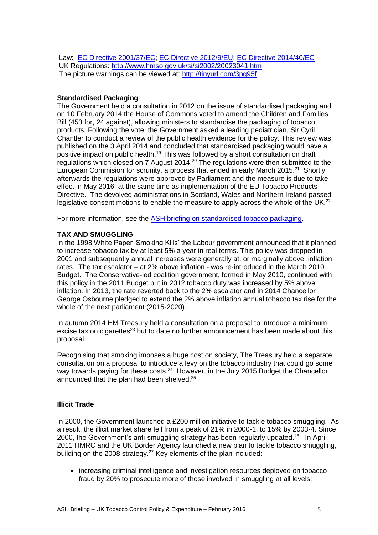Law: [EC Directive 2001/37/EC;](http://europa.eu.int/scadplus/leg/en/cha/c11567.htm) [EC Directive 2012/9/EU;](http://eur-lex.europa.eu/LexUriServ/LexUriServ.do?uri=OJ:L:2012:069:0015:0016:EN:PDF) [EC Directive 2014/40/EC](http://ec.europa.eu/health/tobacco/docs/dir_201440_en.pdf) UK Regulations:<http://www.hmso.gov.uk/si/si2002/20023041.htm> The picture warnings can be viewed at:<http://tinyurl.com/3pg95f>

### **Standardised Packaging**

The Government held a consultation in 2012 on the issue of standardised packaging and on 10 February 2014 the House of Commons voted to amend the Children and Families Bill (453 for, 24 against), allowing ministers to standardise the packaging of tobacco products. Following the vote, the Government asked a leading pediatrician, Sir Cyril Chantler to conduct a review of the public health evidence for the policy. This review was published on the 3 April 2014 and concluded that standardised packaging would have a positive impact on public health.<sup>19</sup> This was followed by a short consultation on draft regulations which closed on 7 August 2014.<sup>20</sup> The regulations were then submitted to the European Commision for scrunity, a process that ended in early March 2015.<sup>21</sup> Shortly afterwards the regulations were approved by Parliament and the measure is due to take effect in May 2016, at the same time as implementation of the EU Tobacco Products Directive. The devolved administrations in Scotland, Wales and Northern Ireland passed legislative consent motions to enable the measure to apply across the whole of the UK.<sup>22</sup>

For more information, see the [ASH briefing on standardised tobacco packaging.](http://ash.org.uk/files/documents/ASH_877.pdf)

### **TAX AND SMUGGLING**

In the 1998 White Paper 'Smoking Kills' the Labour government announced that it planned to increase tobacco tax by at least 5% a year in real terms. This policy was dropped in 2001 and subsequently annual increases were generally at, or marginally above, inflation rates. The tax escalator – at 2% above inflation - was re-introduced in the March 2010 Budget. The Conservative-led coalition government, formed in May 2010, continued with this policy in the 2011 Budget but in 2012 tobacco duty was increased by 5% above inflation. In 2013, the rate reverted back to the 2% escalator and in 2014 Chancellor George Osbourne pledged to extend the 2% above inflation annual tobacco tax rise for the whole of the next parliament (2015-2020).

In autumn 2014 HM Treasury held a consultation on a proposal to introduce a minimum excise tax on cigarettes<sup>23</sup> but to date no further announcement has been made about this proposal.

Recognising that smoking imposes a huge cost on society, The Treasury held a separate consultation on a proposal to introduce a levy on the tobacco industry that could go some way towards paying for these costs.<sup>24</sup> However, in the July 2015 Budget the Chancellor announced that the plan had been shelved.<sup>25</sup>

### **Illicit Trade**

In 2000, the Government launched a £200 million initiative to tackle tobacco smuggling. As a result, the illicit market share fell from a peak of 21% in 2000-1, to 15% by 2003-4. Since 2000, the Government's anti-smuggling strategy has been regularly updated.<sup>26</sup> In April 2011 HMRC and the UK Border Agency launched a new plan to tackle tobacco smuggling, building on the 2008 strategy.<sup>27</sup> Key elements of the plan included:

 increasing criminal intelligence and investigation resources deployed on tobacco fraud by 20% to prosecute more of those involved in smuggling at all levels;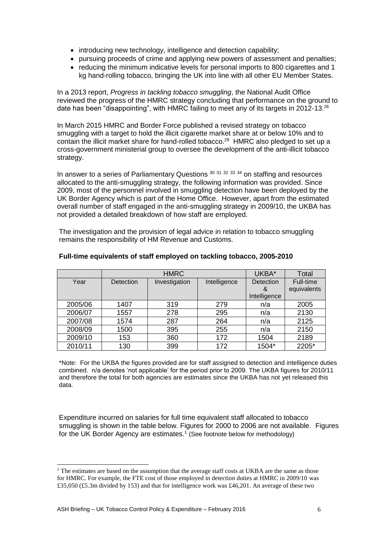- introducing new technology, intelligence and detection capability;
- pursuing proceeds of crime and applying new powers of assessment and penalties;
- reducing the minimum indicative levels for personal imports to 800 cigarettes and 1 kg hand-rolling tobacco, bringing the UK into line with all other EU Member States.

In a 2013 report, *Progress in tackling tobacco smuggling*, the National Audit Office reviewed the progress of the HMRC strategy concluding that performance on the ground to date has been "disappointing", with HMRC failing to meet any of its targets in 2012-13.<sup>28</sup>

In March 2015 HMRC and Border Force published a revised strategy on tobacco smuggling with a target to hold the illicit cigarette market share at or below 10% and to contain the illicit market share for hand-rolled tobacco.<sup>29</sup> HMRC also pledged to set up a cross-government ministerial group to oversee the development of the anti-illicit tobacco strategy.

<span id="page-5-0"></span>In answer to a series of Parliamentary Questions <sup>30 31</sup> <sup>32 33</sup> <sup>34</sup> on staffing and resources allocated to the anti-smuggling strategy, the following information was provided. Since 2009, most of the personnel involved in smuggling detection have been deployed by the UK Border Agency which is part of the Home Office. However, apart from the estimated overall number of staff engaged in the anti-smuggling strategy in 2009/10, the UKBA has not provided a detailed breakdown of how staff are employed.

The investigation and the provision of legal advice in relation to tobacco smuggling remains the responsibility of HM Revenue and Customs.

|         | <b>HMRC</b> |               | UKBA*        | Total        |             |
|---------|-------------|---------------|--------------|--------------|-------------|
| Year    | Detection   | Investigation | Intelligence | Detection    | Full-time   |
|         |             |               |              | &            | equivalents |
|         |             |               |              | Intelligence |             |
| 2005/06 | 1407        | 319           | 279          | n/a          | 2005        |
| 2006/07 | 1557        | 278           | 295          | n/a          | 2130        |
| 2007/08 | 1574        | 287           | 264          | n/a          | 2125        |
| 2008/09 | 1500        | 395           | 255          | n/a          | 2150        |
| 2009/10 | 153         | 360           | 172          | 1504         | 2189        |
| 2010/11 | 130         | 399           | 172          | 1504*        | 2205*       |

### **Full-time equivalents of staff employed on tackling tobacco, 2005-2010**

\*Note: For the UKBA the figures provided are for staff assigned to detection and intelligence duties combined. n/a denotes 'not applicable' for the period prior to 2009. The UKBA figures for 2010/11 and therefore the total for both agencies are estimates since the UKBA has not yet released this data.

Expenditure incurred on salaries for full time equivalent staff allocated to tobacco smuggling is shown in the table below. Figures for 2000 to 2006 are not available. Figures for the UK Border Agency are estimates.<sup>1</sup> (See footnote below for methodology)

 $\overline{a}$ 

<sup>&</sup>lt;sup>1</sup> The estimates are based on the assumption that the average staff costs at UKBA are the same as those for HMRC. For example, the FTE cost of those employed in detection duties at HMRC in 2009/10 was £35,050 (£5.3m divided by 153) and that for intelligence work was £46,201. An average of these two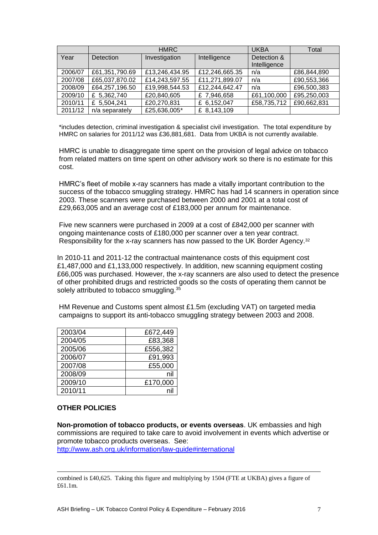|         |                  | <b>HMRC</b>    |                | <b>UKBA</b>  | Total       |
|---------|------------------|----------------|----------------|--------------|-------------|
| Year    | <b>Detection</b> | Investigation  | Intelligence   | Detection &  |             |
|         |                  |                |                | Intelligence |             |
| 2006/07 | £61,351,790.69   | £13,246,434.95 | £12,246,665.35 | n/a          | £86,844,890 |
| 2007/08 | £65,037,870.02   | £14,243,597.55 | £11,271,899.07 | n/a          | £90,553,366 |
| 2008/09 | £64,257,196.50   | £19,998,544.53 | £12,244,642.47 | n/a          | £96,500,383 |
| 2009/10 | £ 5,362,740      | £20,840,605    | £ 7,946,658    | £61,100,000  | £95,250,003 |
| 2010/11 | £ 5,504,241      | £20,270,831    | £ 6,152,047    | £58,735,712  | £90,662,831 |
| 2011/12 | n/a separately   | £25,636,005*   | £ 8,143,109    |              |             |

\*includes detection, criminal investigation & specialist civil investigation. The total expenditure by HMRC on salaries for 2011/12 was £36,881,681. Data from UKBA is not currently available.

HMRC is unable to disaggregate time spent on the provision of legal advice on tobacco from related matters on time spent on other advisory work so there is no estimate for this cost.

HMRC's fleet of mobile x-ray scanners has made a vitally important contribution to the success of the tobacco smuggling strategy. HMRC has had 14 scanners in operation since 2003. These scanners were purchased between 2000 and 2001 at a total cost of £29,663,005 and an average cost of £183,000 per annum for maintenance.

Five new scanners were purchased in 2009 at a cost of £842,000 per scanner with ongoing maintenance costs of £180,000 per scanner over a ten year contract. Responsibility for the x-ray scanners has now passed to the UK Border Agency.[32](#page-5-0)

In 2010-11 and 2011-12 the contractual maintenance costs of this equipment cost £1,487,000 and £1,133,000 respectively. In addition, new scanning equipment costing £66,005 was purchased. However, the x-ray scanners are also used to detect the presence of other prohibited drugs and restricted goods so the costs of operating them cannot be solely attributed to tobacco smuggling.<sup>35</sup>

HM Revenue and Customs spent almost £1.5m (excluding VAT) on targeted media campaigns to support its anti-tobacco smuggling strategy between 2003 and 2008.

| 2003/04 | £672,449 |
|---------|----------|
| 2004/05 | £83,368  |
| 2005/06 | £556,382 |
| 2006/07 | £91,993  |
| 2007/08 | £55,000  |
| 2008/09 | nil      |
| 2009/10 | £170,000 |
| 2010/11 |          |

## **OTHER POLICIES**

**Non-promotion of tobacco products, or events overseas**. UK embassies and high commissions are required to take care to avoid involvement in events which advertise or promote tobacco products overseas. See: <http://www.ash.org.uk/information/law-guide#international>

combined is £40,625. Taking this figure and multiplying by 1504 (FTE at UKBA) gives a figure of £61.1m.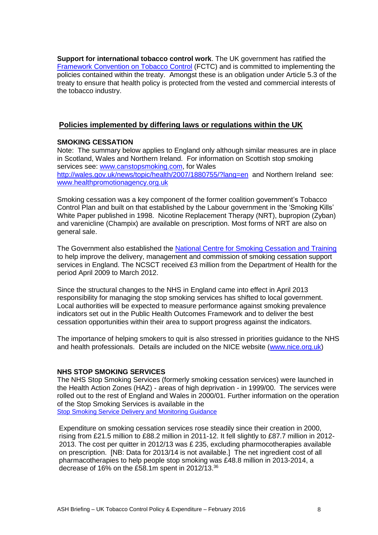**Support for international tobacco control work**. The UK government has ratified the [Framework Convention on Tobacco Control](http://www.who.int/tobacco/framework/en/) (FCTC) and is committed to implementing the policies contained within the treaty. Amongst these is an obligation under Article 5.3 of the treaty to ensure that health policy is protected from the vested and commercial interests of the tobacco industry.

# **Policies implemented by differing laws or regulations within the UK**

### **SMOKING CESSATION**

Note: The summary below applies to England only although similar measures are in place in Scotland, Wales and Northern Ireland. For information on Scottish stop smoking services see: [www.canstopsmoking.com,](http://www.canstopsmoking.com/) for Wales <http://wales.gov.uk/news/topic/health/2007/1880755/?lang=en>and Northern Ireland see: [www.healthpromotionagency.org.uk](http://www.healthpromotionagency.org.uk/)

Smoking cessation was a key component of the former coalition government's Tobacco Control Plan and built on that established by the Labour government in the 'Smoking Kills' White Paper published in 1998. Nicotine Replacement Therapy (NRT), bupropion (Zyban) and varenicline (Champix) are available on prescription. Most forms of NRT are also on general sale.

The Government also established the [National Centre for Smoking Cessation and Training](http://www.ncsct.co.uk/) to help improve the delivery, management and commission of smoking cessation support services in England. The NCSCT received £3 million from the Department of Health for the period April 2009 to March 2012.

Since the structural changes to the NHS in England came into effect in April 2013 responsibility for managing the stop smoking services has shifted to local government. Local authorities will be expected to measure performance against smoking prevalence indicators set out in the Public Health Outcomes Framework and to deliver the best cessation opportunities within their area to support progress against the indicators.

The importance of helping smokers to quit is also stressed in priorities guidance to the NHS and health professionals. Details are included on the NICE website [\(www.nice.org.uk\)](http://www.nice.org.uk/)

# **NHS STOP SMOKING SERVICES**

The NHS Stop Smoking Services (formerly smoking cessation services) were launched in the Health Action Zones (HAZ) - areas of high deprivation - in 1999/00. The services were rolled out to the rest of England and Wales in 2000/01. Further information on the operation of the Stop Smoking Services is available in the **[Stop Smoking Service Delivery and](http://www.dh.gov.uk/en/Publicationsandstatistics/Publications/PublicationsPolicyAndGuidance/DH_125389) Monitoring Guidance** 

Expenditure on smoking cessation services rose steadily since their creation in 2000, rising from £21.5 million to £88.2 million in 2011-12. It fell slightly to £87.7 million in 2012- 2013. The cost per quitter in 2012/13 was £ 235, excluding pharmocotherapies available on prescription. [NB: Data for 2013/14 is not available.] The net ingredient cost of all pharmacotherapies to help people stop smoking was £48.8 million in 2013-2014, a decrease of 16% on the £58.1m spent in 2012/13. 36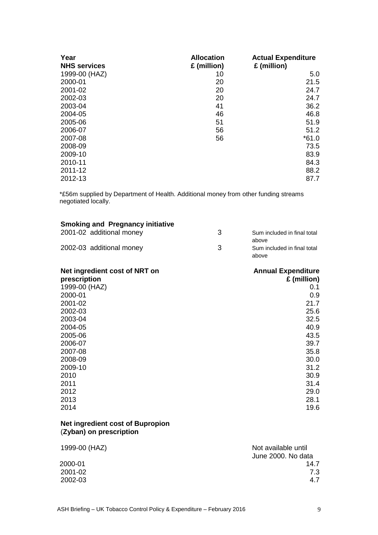| Year<br><b>NHS services</b> | <b>Allocation</b><br>£ (million) | <b>Actual Expenditure</b><br>£ (million) |
|-----------------------------|----------------------------------|------------------------------------------|
| 1999-00 (HAZ)               | 10                               | 5.0                                      |
| 2000-01                     | 20                               | 21.5                                     |
| 2001-02                     | 20                               | 24.7                                     |
| 2002-03                     | 20                               | 24.7                                     |
| 2003-04                     | 41                               | 36.2                                     |
| 2004-05                     | 46                               | 46.8                                     |
| 2005-06                     | 51                               | 51.9                                     |
| 2006-07                     | 56                               | 51.2                                     |
| 2007-08                     | 56                               | $*61.0$                                  |
| 2008-09                     |                                  | 73.5                                     |
| 2009-10                     |                                  | 83.9                                     |
| 2010-11                     |                                  | 84.3                                     |
| 2011-12                     |                                  | 88.2                                     |
| 2012-13                     |                                  | 87.7                                     |

\*£56m supplied by Department of Health. Additional money from other funding streams negotiated locally.

| <b>Smoking and Pregnancy initiative</b> |   |                             |
|-----------------------------------------|---|-----------------------------|
| 2001-02 additional money                | 3 | Sum included in final total |
|                                         |   | above                       |
| 2002-03 additional money                | 3 | Sum included in final total |
|                                         |   | above                       |
| Net ingredient cost of NRT on           |   | <b>Annual Expenditure</b>   |
| prescription                            |   | £ (million)                 |
| 1999-00 (HAZ)                           |   | 0.1                         |
| 2000-01                                 |   | 0.9                         |
| 2001-02                                 |   | 21.7                        |
| 2002-03                                 |   | 25.6                        |
| 2003-04                                 |   | 32.5                        |
| 2004-05                                 |   | 40.9                        |
| 2005-06                                 |   | 43.5                        |
| 2006-07                                 |   | 39.7                        |
| 2007-08                                 |   | 35.8                        |
| 2008-09                                 |   | 30.0                        |
| 2009-10                                 |   | 31.2                        |
| 2010                                    |   | 30.9                        |
| 2011                                    |   | 31.4                        |
| 2012                                    |   | 29.0                        |
| 2013                                    |   | 28.1                        |
| 2014                                    |   | 19.6                        |
|                                         |   |                             |

#### **Net ingredient cost of Bupropion**  (**Zyban) on prescription**

| 1999-00 (HAZ) | Not available until |
|---------------|---------------------|
|               | June 2000. No data  |
| 2000-01       | 14.7                |
| 2001-02       | 7.3                 |
| 2002-03       | 4.7                 |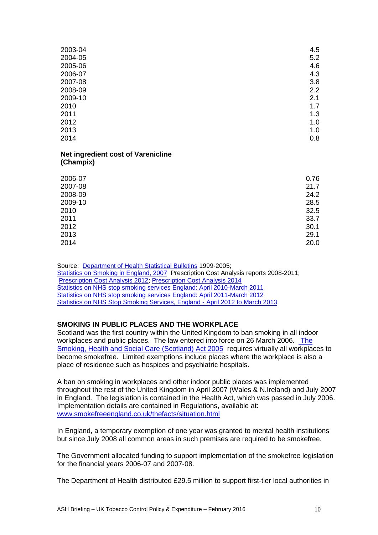| 4.5 |
|-----|
| 5.2 |
| 4.6 |
| 4.3 |
| 3.8 |
| 2.2 |
| 2.1 |
| 1.7 |
| 1.3 |
| 1.0 |
| 1.0 |
| 0.8 |
|     |

#### **Net ingredient cost of Varenicline (Champix)**

| 2006-07 | 0.76 |
|---------|------|
| 2007-08 | 21.7 |
| 2008-09 | 24.2 |
| 2009-10 | 28.5 |
| 2010    | 32.5 |
| 2011    | 33.7 |
| 2012    | 30.1 |
| 2013    | 29.1 |
| 2014    | 20.0 |

Source: [Department of Health Statistical Bulletins](http://www.dh.gov.uk/PublicationsAndStatistics/Statistics/StatisticalWorkAreas/StatisticalPublicHealth/StatisticalPublicHealthArticle/fs/en?CONTENT_ID=4032542&chk=GhPZ+y) 1999-2005; Statistics on [Smoking in England, 2007](http://www.ic.nhs.uk/statistics-and-data-collections/health-and-lifestyles/smoking/statistics-on-smoking-england-2007-%5Bns%5D) Prescription Cost Analysis reports 2008-2011; [Prescription Cost Analysis 2012;](https://catalogue.ic.nhs.uk/publications/prescribing/primary/pres-cost-anal-eng-2012/pres-cost-anal-eng-2012-rep.pdf) [Prescription Cost Analysis 2014](http://www.hscic.gov.uk/catalogue/PUB17274/pres-cost-anal-eng-2014-rep.pdf)  [Statistics on NHS stop smoking services England: April 2010-March 2011](http://www.ic.nhs.uk/pubs/sss1011) [Statistics on NHS stop smoking services England: April 2011-March 2012](https://catalogue.ic.nhs.uk/publications/public-health/smoking/nhs-stop-smok-serv-eng-apr-2011-mar-2012/stat-stop-smok-serv-eng-apr-11-mar-12-rep.pdf) [Statistics on NHS Stop Smoking Services, England -](http://www.hscic.gov.uk/catalogue/PUB12228) April 2012 to March 2013

# **SMOKING IN PUBLIC PLACES AND THE WORKPLACE**

Scotland was the first country within the United Kingdom to ban smoking in all indoor workplaces and public places. The law entered into force on 26 March 2006. [The](http://www.opsi.gov.uk/legislation/scotland/acts2005/20050013.htm)  [Smoking, Health and Social Care \(Scotland\) Act 2005](http://www.opsi.gov.uk/legislation/scotland/acts2005/20050013.htm) requires virtually all workplaces to become smokefree. Limited exemptions include places where the workplace is also a place of residence such as hospices and psychiatric hospitals.

A ban on smoking in workplaces and other indoor public places was implemented throughout the rest of the United Kingdom in April 2007 (Wales & N.Ireland) and July 2007 in England. The legislation is contained in the Health Act, which was passed in July 2006. Implementation details are contained in Regulations, available at: [www.smokefreeengland.co.uk/thefacts/situation.html](http://www.smokefreeengland.co.uk/thefacts/situation.html) 

In England, a temporary exemption of one year was granted to mental health institutions but since July 2008 all common areas in such premises are required to be smokefree.

The Government allocated funding to support implementation of the smokefree legislation for the financial years 2006-07 and 2007-08.

The Department of Health distributed £29.5 million to support first-tier local authorities in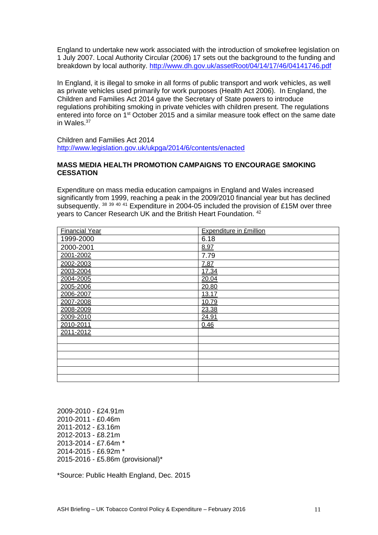England to undertake new work associated with the introduction of smokefree legislation on 1 July 2007. Local Authority Circular (2006) 17 sets out the background to the funding and breakdown by local authority.<http://www.dh.gov.uk/assetRoot/04/14/17/46/04141746.pdf>

In England, it is illegal to smoke in all forms of public transport and work vehicles, as well as private vehicles used primarily for work purposes (Health Act 2006). In England, the Children and Families Act 2014 gave the Secretary of State powers to introduce regulations prohibiting smoking in private vehicles with children present. The regulations entered into force on 1<sup>st</sup> October 2015 and a similar measure took effect on the same date in Wales.<sup>37</sup>

Children and Families Act 2014 <http://www.legislation.gov.uk/ukpga/2014/6/contents/enacted>

### **MASS MEDIA HEALTH PROMOTION CAMPAIGNS TO ENCOURAGE SMOKING CESSATION**

Expenditure on mass media education campaigns in England and Wales increased significantly from 1999, reaching a peak in the 2009/2010 financial year but has declined subsequently. <sup>38 39 40 41</sup> Expenditure in 2004-05 included the provision of £15M over three years to Cancer Research UK and the British Heart Foundation. <sup>42</sup>

| <b>Financial Year</b> | <b>Expenditure in £million</b> |
|-----------------------|--------------------------------|
| 1999-2000             | 6.18                           |
| 2000-2001             | 8.97                           |
| 2001-2002             | 7.79                           |
| 2002-2003             | 7.87                           |
| 2003-2004             | 17.34                          |
| 2004-2005             | 20.04                          |
| 2005-2006             | 20.80                          |
| 2006-2007             | 13.17                          |
| 2007-2008             | 10.79                          |
| 2008-2009             | 23.38                          |
| 2009-2010             | 24.91                          |
| 2010-2011             | 0.46                           |
| 2011-2012             |                                |
|                       |                                |
|                       |                                |
|                       |                                |
|                       |                                |
|                       |                                |
|                       |                                |

2009-2010 - £24.91m 2010-2011 - £0.46m 2011-2012 - £3.16m 2012-2013 - £8.21m 2013-2014 - £7.64m \* 2014-2015 - £6.92m \* 2015-2016 - £5.86m (provisional)\*

\*Source: Public Health England, Dec. 2015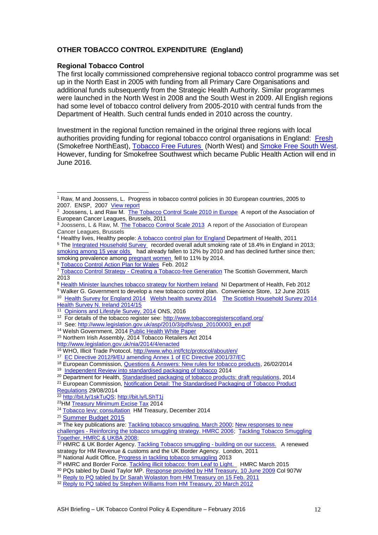## **OTHER TOBACCO CONTROL EXPENDITURE (England)**

#### **Regional Tobacco Control**

The first locally commissioned comprehensive regional tobacco control programme was set up in the North East in 2005 with funding from all Primary Care Organisations and additional funds subsequently from the Strategic Health Authority. Similar programmes were launched in the North West in 2008 and the South West in 2009. All English regions had some level of tobacco control delivery from 2005-2010 with central funds from the Department of Health. Such central funds ended in 2010 across the country.

Investment in the regional function remained in the original three regions with local authorities providing funding for regional tobacco control organisations in England: [Fresh](http://www.freshne.com/) (Smokefree NorthEast), [Tobacco Free Futures](http://www.tobaccofreefutures.org/) (North West) and [Smoke Free South West.](http://www.smokefreesouthwest.org.uk/) However, funding for Smokefree Southwest which became Public Health Action will end in June 2016.

- <sup>13</sup> See[: http://www.legislation.gov.uk/asp/2010/3/pdfs/asp\\_20100003\\_en.pdf](http://www.legislation.gov.uk/asp/2010/3/pdfs/asp_20100003_en.pdf)
- <sup>14</sup> Welsh Government, 2014 [Public Health White Paper](http://wales.gov.uk/consultations/healthsocialcare/white-paper/?lang=en)
- <sup>15</sup> Northern Irish Assembly, 2014 Tobacco Retailers Act 2014
- <http://www.legislation.gov.uk/nia/2014/4/enacted>

<sup>19</sup> [Independent Review into standardised packaging of tobacco](http://www.kcl.ac.uk/health/packaging-review.aspx) 2014

[Regulations](http://ec.europa.eu/enterprise/tris/en/search/?trisaction=search.detail&year=2014&num=427) 29/08/2014

1

<sup>1</sup> Raw, M and Joossens, L. Progress in tobacco control policies in 30 European countries, 2005 to 2007. ENSP, 2007 [View report](http://www.europeancancerleagues.org/images/stories/pdf/290_30_european_countries_text_final.pdf)

<sup>2</sup> Joossens, L and Raw M. [The Tobacco Control Scale 2010 in Europe](http://www.ensp.org/node/576) A report of the Association of European Cancer Leagues, Brussels, 2011

<sup>&</sup>lt;sup>3</sup> Joossens, L & Raw, M. The Tobacco [Control Scale 2013](http://www.europeancancerleagues.org/images/TobaccoControl/TCS_2013_in_Europe_13-03-14_final_1.pdf) A report of the Association of European Cancer Leagues, Brussels

<sup>4</sup> Healthy lives, Healthy people: [A tobacco control plan for England](http://www.dh.gov.uk/en/Publicationsandstatistics/Publications/PublicationsPolicyAndGuidance/DH_124917) Department of Health, 2011 <sup>5</sup> The [Integrated Household Survey](http://bit.ly/1Vuyjw7) recorded overall adult smoking rate of 18.4% in England in 2013; [smoking among 15 year olds](http://bit.ly/1gOnmVZ) had already fallen to 12% by 2010 and has declined further since then; smoking prevalence amon[g pregnant women](http://bit.ly/1gOmsZQ) fell to 11% by 2014.

<sup>6</sup> [Tobacco Control Action Plan for Wales](http://wales.gov.uk/topics/health/improvement/index/tobaccoplan/?lang=en) Feb. 2012

<sup>7</sup> Tobacco Control Strategy - [Creating a Tobacco-free Generation](http://www.scotland.gov.uk/Publications/2013/03/3766) The Scottish Government, March 2013

<sup>8</sup> [Health Minister launches tobacco strategy for Northern Ireland](http://www.northernireland.gov.uk/news-dhssps-280212-health-minister-launches?WT.mc_id=rss-news) NI Department of Health, Feb 2012

<sup>&</sup>lt;sup>9</sup> Walker G. Government to develop a new tobacco control plan. Convenience Store, 12 June 2015

<sup>&</sup>lt;sup>10</sup> [Health Survey for England 2014](http://www.hscic.gov.uk/catalogue/PUB19295) [Welsh health survey 2014](http://gov.wales/statistics-and-research/welsh-health-survey/?lang=en) The Scottish Household Survey 2014 [Health Survey N. Ireland 2014/15](http://www.northernireland.gov.uk/news-dhssps-111115-health-survey-northern?WT.mc_id=rss-news)

<sup>&</sup>lt;sup>11</sup> [Opinions and Lifestyle Survey, 2014](http://www.ons.gov.uk/ons/rel/ghs/opinions-and-lifestyle-survey/adult-smoking-habits-in-great-britain--2014/stb-adult-smoking-habits-in-great-britain--2014.html)</u> ONS, 2016

<sup>12</sup> For details of the tobacco register see:<http://www.tobaccoregisterscotland.org/>

<sup>16</sup> WHO, Illicit Trade Protocol,<http://www.who.int/fctc/protocol/about/en/>

<sup>&</sup>lt;sup>17</sup> [EC Directive 2012/9/EU amending Annex 1 of EC Directive 2001/37/EC](http://eur-lex.europa.eu/LexUriServ/LexUriServ.do?uri=OJ:L:2012:069:0015:0016:EN:PDF)

<sup>18</sup> European Commission, [Questions & Answers: New rules for tobacco products,](http://europa.eu/rapid/press-release_MEMO-14-134_en.htm) 26/02/2014

<sup>&</sup>lt;sup>20</sup> Department for Health[, Standardised packaging of tobacco products: draft regulations,](https://www.gov.uk/government/consultations/standardised-packaging-of-tobacco-products-draft-regulations) 2014 <sup>21</sup> European Commission, [Notification Detail: The Standardised Packaging of Tobacco Product](http://ec.europa.eu/enterprise/tris/en/search/?trisaction=search.detail&year=2014&num=427) 

<sup>&</sup>lt;sup>22</sup> [http://bit.ly/1skTuQS;](http://bit.ly/1skTuQS)<http://bit.ly/LShT1j>

<sup>23</sup>HM [Treasury Minimum Excise Tax](https://www.gov.uk/government/consultations/minimum-excise-tax/minimum-excise-tax) 2014

<sup>&</sup>lt;sup>24</sup> [Tobacco levy: consultation](https://www.gov.uk/government/consultations/tobacco-levy) HM Treasury, December 2014

<sup>25</sup> [Summer Budget 2015](https://www.gov.uk/government/publications/summer-budget-2015/summer-budget-2015)

<sup>&</sup>lt;sup>26</sup> The key publications are[: Tackling tobacco smuggling. March 2000;](http://www.hm-treasury.gov.uk/d/433.pdf) New responses to new challenges - [Reinforcing the tobacco smuggling strategy. HMRC 2006;](http://webarchive.nationalarchives.gov.uk/+/http:/www.hm-treasury.gov.uk/budget/budget_06/other_documents/bud_bud06_odtobacco.cfm) [Tackling Tobacco Smuggling](http://www.smokefreenorthwest.org/pdf/Tackling_Tobacco_Smuggling_Together.pdf)  [Together. HMRC & UKBA 2008;](http://www.smokefreenorthwest.org/pdf/Tackling_Tobacco_Smuggling_Together.pdf)

<sup>27</sup> HMRC & UK Border Agency[. Tackling Tobacco smuggling -](http://www.hmrc.gov.uk/news/tackling-tobacco.htm) building on our success. A renewed strategy for HM Revenue & customs and the UK Border Agency. London, 2011

<sup>&</sup>lt;sup>28</sup> National Audit Office, **Progress in tackling tobacco smuggling 2013** 

<sup>&</sup>lt;sup>29</sup> HMRC and Border Force. [Tackling illicit tobacco: from Leaf to Light.](https://www.gov.uk/government/publications/tackling-illicit-tobacco-from-leaf-to-light) HMRC March 2015

<sup>&</sup>lt;sup>30</sup> PQs tabled by David Taylor MP[. Response provided by HM Treasury, 10 June 2009](http://www.parliament.the-stationery-office.co.uk/pa/cm200809/cmhansrd/chan88.pdf) Col 907W

<sup>&</sup>lt;sup>31</sup> [Reply to PQ tabled by Dr Sarah Wolaston from HM Treasury on 15 Feb. 2011](http://www.theyworkforyou.com/wrans/?id=2011-02-15a.40228.h)

<sup>&</sup>lt;sup>32</sup> [Reply to PQ tabled by Stephen Williams from HM Treasury, 20 March 2012](http://www.publications.parliament.uk/pa/cm201212/cmhansrd/cm120320/text/120320w0002.htm)